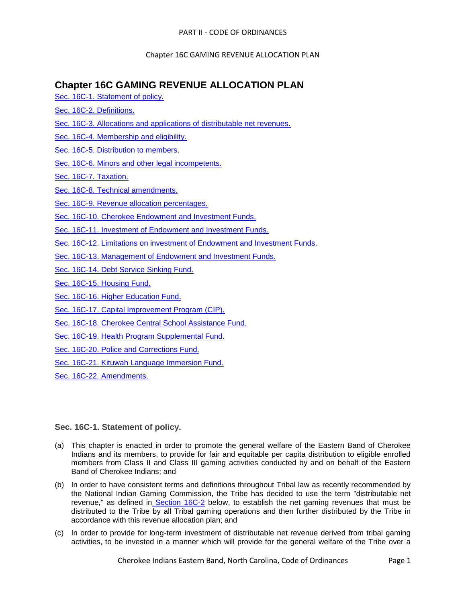# **Chapter 16C GAMING REVENUE ALLOCATION PLAN**

- [Sec. 16C-1. Statement of policy.](#page-0-0)
- [Sec. 16C-2. Definitions.](#page-1-0)
- [Sec. 16C-3. Allocations and applications of distributable net revenues.](#page-2-0)
- [Sec. 16C-4. Membership and eligibility.](#page-3-0)
- [Sec. 16C-5. Distribution to members.](#page-5-0)
- [Sec. 16C-6. Minors and other legal incompetents.](#page-9-0)
- [Sec. 16C-7. Taxation.](#page-13-0)
- [Sec. 16C-8. Technical amendments.](#page-13-1)
- [Sec. 16C-9. Revenue allocation percentages.](#page-13-2)
- [Sec. 16C-10. Cherokee Endowment and Investment Funds.](#page-14-0)
- [Sec. 16C-11. Investment of Endowment and Investment Funds.](#page-15-0)
- [Sec. 16C-12. Limitations on investment of Endowment and Investment Funds.](#page-16-0)
- [Sec. 16C-13. Management of Endowment and Investment Funds.](#page-16-1)
- [Sec. 16C-14. Debt Service Sinking Fund.](#page-16-2)
- [Sec. 16C-15. Housing Fund.](#page-17-0)
- [Sec. 16C-16. Higher Education Fund.](#page-17-1)
- [Sec. 16C-17. Capital Improvement Program \(CIP\).](#page-18-0)
- [Sec. 16C-18. Cherokee Central School Assistance Fund.](#page-18-1)
- [Sec. 16C-19. Health Program Supplemental Fund.](#page-18-2)
- [Sec. 16C-20. Police and Corrections Fund.](#page-19-0)
- [Sec. 16C-21. Kituwah Language Immersion Fund.](#page-19-1)
- [Sec. 16C-22. Amendments.](#page-19-2)

# <span id="page-0-0"></span>**Sec. 16C-1. Statement of policy.**

- (a) This chapter is enacted in order to promote the general welfare of the Eastern Band of Cherokee Indians and its members, to provide for fair and equitable per capita distribution to eligible enrolled members from Class II and Class III gaming activities conducted by and on behalf of the Eastern Band of Cherokee Indians; and
- (b) In order to have consistent terms and definitions throughout Tribal law as recently recommended by the National Indian Gaming Commission, the Tribe has decided to use the term "distributable net revenue," as defined in [Section 16C-2](../level2/PTIICOOR_CH16CGAREALPL.docx#PTIICOOR_CH16CGAREALPL_S16C-2DE) below, to establish the net gaming revenues that must be distributed to the Tribe by all Tribal gaming operations and then further distributed by the Tribe in accordance with this revenue allocation plan; and
- (c) In order to provide for long-term investment of distributable net revenue derived from tribal gaming activities, to be invested in a manner which will provide for the general welfare of the Tribe over a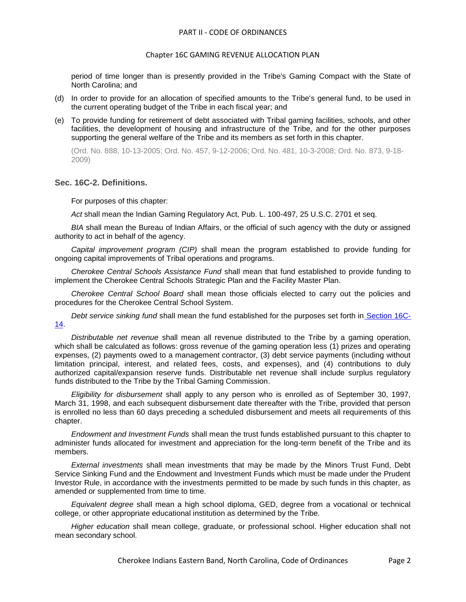#### Chapter 16C GAMING REVENUE ALLOCATION PLAN

period of time longer than is presently provided in the Tribe's Gaming Compact with the State of North Carolina; and

- (d) In order to provide for an allocation of specified amounts to the Tribe's general fund, to be used in the current operating budget of the Tribe in each fiscal year; and
- (e) To provide funding for retirement of debt associated with Tribal gaming facilities, schools, and other facilities, the development of housing and infrastructure of the Tribe, and for the other purposes supporting the general welfare of the Tribe and its members as set forth in this chapter.

(Ord. No. 888, 10-13-2005; Ord. No. 457, 9-12-2006; Ord. No. 481, 10-3-2008; Ord. No. 873, 9-18- 2009)

#### <span id="page-1-0"></span>**Sec. 16C-2. Definitions.**

For purposes of this chapter:

*Act* shall mean the Indian Gaming Regulatory Act, Pub. L. 100-497, 25 U.S.C. 2701 et seq.

*BIA* shall mean the Bureau of Indian Affairs, or the official of such agency with the duty or assigned authority to act in behalf of the agency.

*Capital improvement program (CIP)* shall mean the program established to provide funding for ongoing capital improvements of Tribal operations and programs.

*Cherokee Central Schools Assistance Fund* shall mean that fund established to provide funding to implement the Cherokee Central Schools Strategic Plan and the Facility Master Plan.

*Cherokee Central School Board* shall mean those officials elected to carry out the policies and procedures for the Cherokee Central School System.

*Debt service sinking fund* shall mean the fund established for the purposes set forth in [Section 16C-](../level2/PTIICOOR_CH16CGAREALPL.docx#PTIICOOR_CH16CGAREALPL_S16C-14DESESIFU)[14.](../level2/PTIICOOR_CH16CGAREALPL.docx#PTIICOOR_CH16CGAREALPL_S16C-14DESESIFU)

*Distributable net revenue* shall mean all revenue distributed to the Tribe by a gaming operation, which shall be calculated as follows: gross revenue of the gaming operation less (1) prizes and operating expenses, (2) payments owed to a management contractor, (3) debt service payments (including without limitation principal, interest, and related fees, costs, and expenses), and (4) contributions to duly authorized capital/expansion reserve funds. Distributable net revenue shall include surplus regulatory funds distributed to the Tribe by the Tribal Gaming Commission.

*Eligibility for disbursement* shall apply to any person who is enrolled as of September 30, 1997, March 31, 1998, and each subsequent disbursement date thereafter with the Tribe, provided that person is enrolled no less than 60 days preceding a scheduled disbursement and meets all requirements of this chapter.

*Endowment and Investment Funds* shall mean the trust funds established pursuant to this chapter to administer funds allocated for investment and appreciation for the long-term benefit of the Tribe and its members.

*External investments* shall mean investments that may be made by the Minors Trust Fund, Debt Service Sinking Fund and the Endowment and Investment Funds which must be made under the Prudent Investor Rule, in accordance with the investments permitted to be made by such funds in this chapter, as amended or supplemented from time to time.

*Equivalent degree* shall mean a high school diploma, GED, degree from a vocational or technical college, or other appropriate educational institution as determined by the Tribe.

*Higher education* shall mean college, graduate, or professional school. Higher education shall not mean secondary school.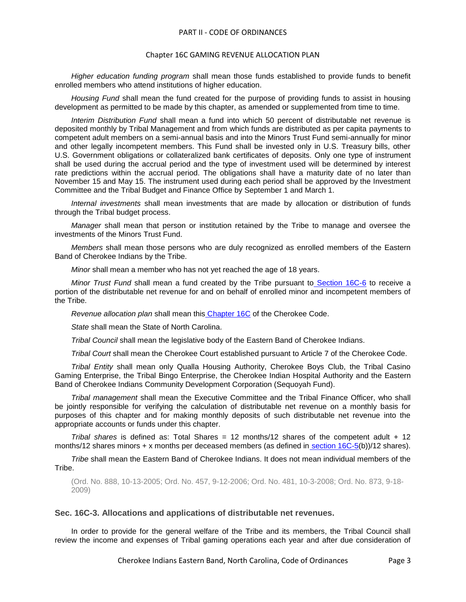#### Chapter 16C GAMING REVENUE ALLOCATION PLAN

*Higher education funding program* shall mean those funds established to provide funds to benefit enrolled members who attend institutions of higher education.

*Housing Fund* shall mean the fund created for the purpose of providing funds to assist in housing development as permitted to be made by this chapter, as amended or supplemented from time to time.

*Interim Distribution Fund* shall mean a fund into which 50 percent of distributable net revenue is deposited monthly by Tribal Management and from which funds are distributed as per capita payments to competent adult members on a semi-annual basis and into the Minors Trust Fund semi-annually for minor and other legally incompetent members. This Fund shall be invested only in U.S. Treasury bills, other U.S. Government obligations or collateralized bank certificates of deposits. Only one type of instrument shall be used during the accrual period and the type of investment used will be determined by interest rate predictions within the accrual period. The obligations shall have a maturity date of no later than November 15 and May 15. The instrument used during each period shall be approved by the Investment Committee and the Tribal Budget and Finance Office by September 1 and March 1.

*Internal investments* shall mean investments that are made by allocation or distribution of funds through the Tribal budget process.

*Manager* shall mean that person or institution retained by the Tribe to manage and oversee the investments of the Minors Trust Fund.

*Members* shall mean those persons who are duly recognized as enrolled members of the Eastern Band of Cherokee Indians by the Tribe.

*Minor* shall mean a member who has not yet reached the age of 18 years.

*Minor Trust Fund* shall mean a fund created by the Tribe pursuant to [Section 16C-6](../level2/PTIICOOR_CH16CGAREALPL.docx#PTIICOOR_CH16CGAREALPL_S16C-6MIOTLEIN) to receive a portion of the distributable net revenue for and on behalf of enrolled minor and incompetent members of the Tribe.

*Revenue allocation plan* shall mean this [Chapter 16C](../level2/PTIICOOR_CH16CGAREALPL.docx#PTIICOOR_CH16CGAREALPL) of the Cherokee Code.

*State* shall mean the State of North Carolina.

*Tribal Council* shall mean the legislative body of the Eastern Band of Cherokee Indians.

*Tribal Court* shall mean the Cherokee Court established pursuant to Article 7 of the Cherokee Code.

*Tribal Entity* shall mean only Qualla Housing Authority, Cherokee Boys Club, the Tribal Casino Gaming Enterprise, the Tribal Bingo Enterprise, the Cherokee Indian Hospital Authority and the Eastern Band of Cherokee Indians Community Development Corporation (Sequoyah Fund).

*Tribal management* shall mean the Executive Committee and the Tribal Finance Officer, who shall be jointly responsible for verifying the calculation of distributable net revenue on a monthly basis for purposes of this chapter and for making monthly deposits of such distributable net revenue into the appropriate accounts or funds under this chapter.

*Tribal shares* is defined as: Total Shares = 12 months/12 shares of the competent adult + 12 months/12 shares minors  $+ x$  months per deceased members (as defined in section  $16C-5(b)/12$  shares).

*Tribe* shall mean the Eastern Band of Cherokee Indians. It does not mean individual members of the Tribe.

(Ord. No. 888, 10-13-2005; Ord. No. 457, 9-12-2006; Ord. No. 481, 10-3-2008; Ord. No. 873, 9-18- 2009)

### <span id="page-2-0"></span>**Sec. 16C-3. Allocations and applications of distributable net revenues.**

In order to provide for the general welfare of the Tribe and its members, the Tribal Council shall review the income and expenses of Tribal gaming operations each year and after due consideration of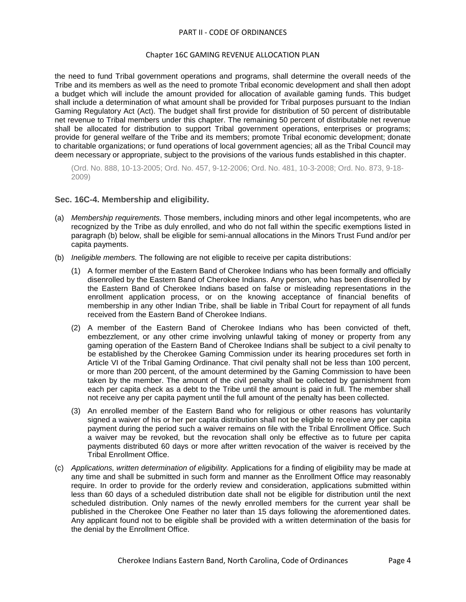## Chapter 16C GAMING REVENUE ALLOCATION PLAN

the need to fund Tribal government operations and programs, shall determine the overall needs of the Tribe and its members as well as the need to promote Tribal economic development and shall then adopt a budget which will include the amount provided for allocation of available gaming funds. This budget shall include a determination of what amount shall be provided for Tribal purposes pursuant to the Indian Gaming Regulatory Act (Act). The budget shall first provide for distribution of 50 percent of distributable net revenue to Tribal members under this chapter. The remaining 50 percent of distributable net revenue shall be allocated for distribution to support Tribal government operations, enterprises or programs; provide for general welfare of the Tribe and its members; promote Tribal economic development; donate to charitable organizations; or fund operations of local government agencies; all as the Tribal Council may deem necessary or appropriate, subject to the provisions of the various funds established in this chapter.

(Ord. No. 888, 10-13-2005; Ord. No. 457, 9-12-2006; Ord. No. 481, 10-3-2008; Ord. No. 873, 9-18- 2009)

# <span id="page-3-0"></span>**Sec. 16C-4. Membership and eligibility.**

- (a) *Membership requirements.* Those members, including minors and other legal incompetents, who are recognized by the Tribe as duly enrolled, and who do not fall within the specific exemptions listed in paragraph (b) below, shall be eligible for semi-annual allocations in the Minors Trust Fund and/or per capita payments.
- (b) *Ineligible members.* The following are not eligible to receive per capita distributions:
	- (1) A former member of the Eastern Band of Cherokee Indians who has been formally and officially disenrolled by the Eastern Band of Cherokee Indians. Any person, who has been disenrolled by the Eastern Band of Cherokee Indians based on false or misleading representations in the enrollment application process, or on the knowing acceptance of financial benefits of membership in any other Indian Tribe, shall be liable in Tribal Court for repayment of all funds received from the Eastern Band of Cherokee Indians.
	- (2) A member of the Eastern Band of Cherokee Indians who has been convicted of theft, embezzlement, or any other crime involving unlawful taking of money or property from any gaming operation of the Eastern Band of Cherokee Indians shall be subject to a civil penalty to be established by the Cherokee Gaming Commission under its hearing procedures set forth in Article VI of the Tribal Gaming Ordinance. That civil penalty shall not be less than 100 percent, or more than 200 percent, of the amount determined by the Gaming Commission to have been taken by the member. The amount of the civil penalty shall be collected by garnishment from each per capita check as a debt to the Tribe until the amount is paid in full. The member shall not receive any per capita payment until the full amount of the penalty has been collected.
	- (3) An enrolled member of the Eastern Band who for religious or other reasons has voluntarily signed a waiver of his or her per capita distribution shall not be eligible to receive any per capita payment during the period such a waiver remains on file with the Tribal Enrollment Office. Such a waiver may be revoked, but the revocation shall only be effective as to future per capita payments distributed 60 days or more after written revocation of the waiver is received by the Tribal Enrollment Office.
- (c) *Applications, written determination of eligibility.* Applications for a finding of eligibility may be made at any time and shall be submitted in such form and manner as the Enrollment Office may reasonably require. In order to provide for the orderly review and consideration, applications submitted within less than 60 days of a scheduled distribution date shall not be eligible for distribution until the next scheduled distribution. Only names of the newly enrolled members for the current year shall be published in the Cherokee One Feather no later than 15 days following the aforementioned dates. Any applicant found not to be eligible shall be provided with a written determination of the basis for the denial by the Enrollment Office.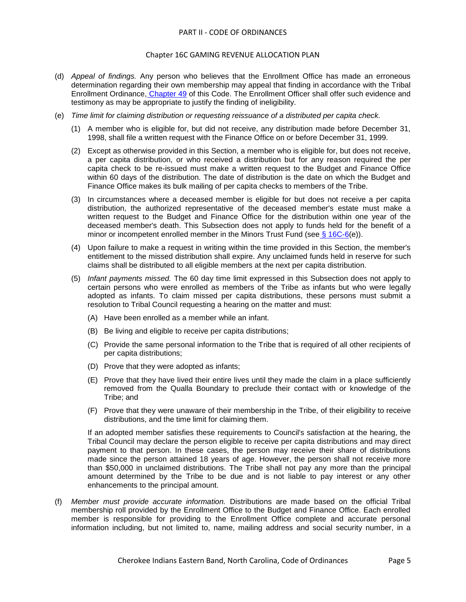#### Chapter 16C GAMING REVENUE ALLOCATION PLAN

- (d) *Appeal of findings.* Any person who believes that the Enrollment Office has made an erroneous determination regarding their own membership may appeal that finding in accordance with the Tribal Enrollment Ordinance, [Chapter 49](../level2/PTIICOOR_CH49EN.docx#PTIICOOR_CH49EN) of this Code. The Enrollment Officer shall offer such evidence and testimony as may be appropriate to justify the finding of ineligibility.
- (e) *Time limit for claiming distribution or requesting reissuance of a distributed per capita check.*
	- (1) A member who is eligible for, but did not receive, any distribution made before December 31, 1998, shall file a written request with the Finance Office on or before December 31, 1999.
	- (2) Except as otherwise provided in this Section, a member who is eligible for, but does not receive, a per capita distribution, or who received a distribution but for any reason required the per capita check to be re-issued must make a written request to the Budget and Finance Office within 60 days of the distribution. The date of distribution is the date on which the Budget and Finance Office makes its bulk mailing of per capita checks to members of the Tribe.
	- (3) In circumstances where a deceased member is eligible for but does not receive a per capita distribution, the authorized representative of the deceased member's estate must make a written request to the Budget and Finance Office for the distribution within one year of the deceased member's death. This Subsection does not apply to funds held for the benefit of a minor or incompetent enrolled member in the Minors Trust Fund (see  $\S 16C-6(e)$ ).
	- (4) Upon failure to make a request in writing within the time provided in this Section, the member's entitlement to the missed distribution shall expire. Any unclaimed funds held in reserve for such claims shall be distributed to all eligible members at the next per capita distribution.
	- (5) *Infant payments missed.* The 60 day time limit expressed in this Subsection does not apply to certain persons who were enrolled as members of the Tribe as infants but who were legally adopted as infants. To claim missed per capita distributions, these persons must submit a resolution to Tribal Council requesting a hearing on the matter and must:
		- (A) Have been enrolled as a member while an infant.
		- (B) Be living and eligible to receive per capita distributions;
		- (C) Provide the same personal information to the Tribe that is required of all other recipients of per capita distributions;
		- (D) Prove that they were adopted as infants;
		- (E) Prove that they have lived their entire lives until they made the claim in a place sufficiently removed from the Qualla Boundary to preclude their contact with or knowledge of the Tribe; and
		- (F) Prove that they were unaware of their membership in the Tribe, of their eligibility to receive distributions, and the time limit for claiming them.

If an adopted member satisfies these requirements to Council's satisfaction at the hearing, the Tribal Council may declare the person eligible to receive per capita distributions and may direct payment to that person. In these cases, the person may receive their share of distributions made since the person attained 18 years of age. However, the person shall not receive more than \$50,000 in unclaimed distributions. The Tribe shall not pay any more than the principal amount determined by the Tribe to be due and is not liable to pay interest or any other enhancements to the principal amount.

(f) *Member must provide accurate information.* Distributions are made based on the official Tribal membership roll provided by the Enrollment Office to the Budget and Finance Office. Each enrolled member is responsible for providing to the Enrollment Office complete and accurate personal information including, but not limited to, name, mailing address and social security number, in a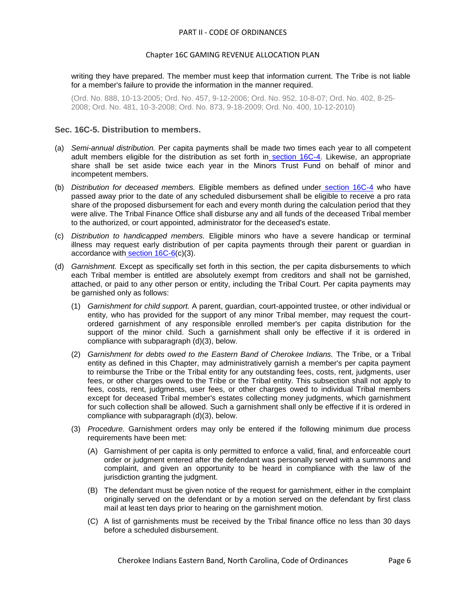writing they have prepared. The member must keep that information current. The Tribe is not liable for a member's failure to provide the information in the manner required.

(Ord. No. 888, 10-13-2005; Ord. No. 457, 9-12-2006; Ord. No. 952, 10-8-07; Ord. No. 402, 8-25- 2008; Ord. No. 481, 10-3-2008; Ord. No. 873, 9-18-2009; Ord. No. 400, 10-12-2010)

#### <span id="page-5-0"></span>**Sec. 16C-5. Distribution to members.**

- (a) *Semi-annual distribution.* Per capita payments shall be made two times each year to all competent adult members eligible for the distribution as set forth in [section 16C-4.](../level2/PTIICOOR_CH16CGAREALPL.docx#PTIICOOR_CH16CGAREALPL_S16C-4MEEL) Likewise, an appropriate share shall be set aside twice each year in the Minors Trust Fund on behalf of minor and incompetent members.
- (b) *Distribution for deceased members.* Eligible members as defined under [section 16C-4](../level2/PTIICOOR_CH16CGAREALPL.docx#PTIICOOR_CH16CGAREALPL_S16C-4MEEL) who have passed away prior to the date of any scheduled disbursement shall be eligible to receive a pro rata share of the proposed disbursement for each and every month during the calculation period that they were alive. The Tribal Finance Office shall disburse any and all funds of the deceased Tribal member to the authorized, or court appointed, administrator for the deceased's estate.
- (c) *Distribution to handicapped members.* Eligible minors who have a severe handicap or terminal illness may request early distribution of per capita payments through their parent or guardian in accordance with [section 16C-6\(](../level2/PTIICOOR_CH16CGAREALPL.docx#PTIICOOR_CH16CGAREALPL_S16C-6MIOTLEIN)c)(3).
- (d) *Garnishment.* Except as specifically set forth in this section, the per capita disbursements to which each Tribal member is entitled are absolutely exempt from creditors and shall not be garnished, attached, or paid to any other person or entity, including the Tribal Court. Per capita payments may be garnished only as follows:
	- (1) *Garnishment for child support.* A parent, guardian, court-appointed trustee, or other individual or entity, who has provided for the support of any minor Tribal member, may request the courtordered garnishment of any responsible enrolled member's per capita distribution for the support of the minor child. Such a garnishment shall only be effective if it is ordered in compliance with subparagraph (d)(3), below.
	- (2) *Garnishment for debts owed to the Eastern Band of Cherokee Indians.* The Tribe, or a Tribal entity as defined in this Chapter, may administratively garnish a member's per capita payment to reimburse the Tribe or the Tribal entity for any outstanding fees, costs, rent, judgments, user fees, or other charges owed to the Tribe or the Tribal entity. This subsection shall not apply to fees, costs, rent, judgments, user fees, or other charges owed to individual Tribal members except for deceased Tribal member's estates collecting money judgments, which garnishment for such collection shall be allowed. Such a garnishment shall only be effective if it is ordered in compliance with subparagraph (d)(3), below.
	- (3) *Procedure.* Garnishment orders may only be entered if the following minimum due process requirements have been met:
		- (A) Garnishment of per capita is only permitted to enforce a valid, final, and enforceable court order or judgment entered after the defendant was personally served with a summons and complaint, and given an opportunity to be heard in compliance with the law of the jurisdiction granting the judgment.
		- (B) The defendant must be given notice of the request for garnishment, either in the complaint originally served on the defendant or by a motion served on the defendant by first class mail at least ten days prior to hearing on the garnishment motion.
		- (C) A list of garnishments must be received by the Tribal finance office no less than 30 days before a scheduled disbursement.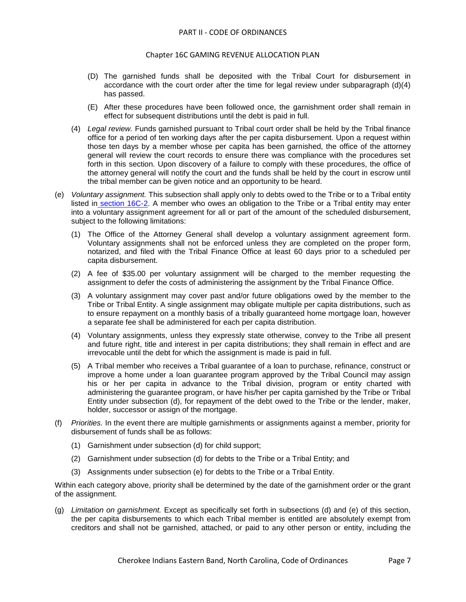- (D) The garnished funds shall be deposited with the Tribal Court for disbursement in accordance with the court order after the time for legal review under subparagraph (d)(4) has passed.
- (E) After these procedures have been followed once, the garnishment order shall remain in effect for subsequent distributions until the debt is paid in full.
- (4) *Legal review.* Funds garnished pursuant to Tribal court order shall be held by the Tribal finance office for a period of ten working days after the per capita disbursement. Upon a request within those ten days by a member whose per capita has been garnished, the office of the attorney general will review the court records to ensure there was compliance with the procedures set forth in this section. Upon discovery of a failure to comply with these procedures, the office of the attorney general will notify the court and the funds shall be held by the court in escrow until the tribal member can be given notice and an opportunity to be heard.
- (e) *Voluntary assignment.* This subsection shall apply only to debts owed to the Tribe or to a Tribal entity listed in [section 16C-2.](../level2/PTIICOOR_CH16CGAREALPL.docx#PTIICOOR_CH16CGAREALPL_S16C-2DE) A member who owes an obligation to the Tribe or a Tribal entity may enter into a voluntary assignment agreement for all or part of the amount of the scheduled disbursement, subject to the following limitations:
	- (1) The Office of the Attorney General shall develop a voluntary assignment agreement form. Voluntary assignments shall not be enforced unless they are completed on the proper form, notarized, and filed with the Tribal Finance Office at least 60 days prior to a scheduled per capita disbursement.
	- (2) A fee of \$35.00 per voluntary assignment will be charged to the member requesting the assignment to defer the costs of administering the assignment by the Tribal Finance Office.
	- (3) A voluntary assignment may cover past and/or future obligations owed by the member to the Tribe or Tribal Entity. A single assignment may obligate multiple per capita distributions, such as to ensure repayment on a monthly basis of a tribally guaranteed home mortgage loan, however a separate fee shall be administered for each per capita distribution.
	- (4) Voluntary assignments, unless they expressly state otherwise, convey to the Tribe all present and future right, title and interest in per capita distributions; they shall remain in effect and are irrevocable until the debt for which the assignment is made is paid in full.
	- (5) A Tribal member who receives a Tribal guarantee of a loan to purchase, refinance, construct or improve a home under a loan guarantee program approved by the Tribal Council may assign his or her per capita in advance to the Tribal division, program or entity charted with administering the guarantee program, or have his/her per capita garnished by the Tribe or Tribal Entity under subsection (d), for repayment of the debt owed to the Tribe or the lender, maker, holder, successor or assign of the mortgage.
- (f) *Priorities.* In the event there are multiple garnishments or assignments against a member, priority for disbursement of funds shall be as follows:
	- (1) Garnishment under subsection (d) for child support;
	- (2) Garnishment under subsection (d) for debts to the Tribe or a Tribal Entity; and
	- (3) Assignments under subsection (e) for debts to the Tribe or a Tribal Entity.

Within each category above, priority shall be determined by the date of the garnishment order or the grant of the assignment.

(g) *Limitation on garnishment.* Except as specifically set forth in subsections (d) and (e) of this section, the per capita disbursements to which each Tribal member is entitled are absolutely exempt from creditors and shall not be garnished, attached, or paid to any other person or entity, including the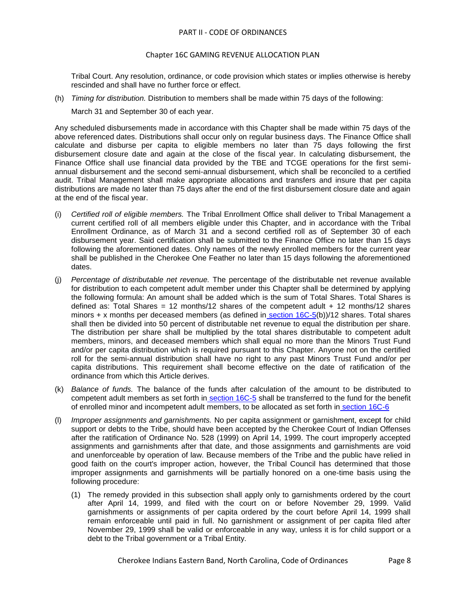## Chapter 16C GAMING REVENUE ALLOCATION PLAN

Tribal Court. Any resolution, ordinance, or code provision which states or implies otherwise is hereby rescinded and shall have no further force or effect.

(h) *Timing for distribution.* Distribution to members shall be made within 75 days of the following:

March 31 and September 30 of each year.

Any scheduled disbursements made in accordance with this Chapter shall be made within 75 days of the above referenced dates. Distributions shall occur only on regular business days. The Finance Office shall calculate and disburse per capita to eligible members no later than 75 days following the first disbursement closure date and again at the close of the fiscal year. In calculating disbursement, the Finance Office shall use financial data provided by the TBE and TCGE operations for the first semiannual disbursement and the second semi-annual disbursement, which shall be reconciled to a certified audit. Tribal Management shall make appropriate allocations and transfers and insure that per capita distributions are made no later than 75 days after the end of the first disbursement closure date and again at the end of the fiscal year.

- (i) *Certified roll of eligible members.* The Tribal Enrollment Office shall deliver to Tribal Management a current certified roll of all members eligible under this Chapter, and in accordance with the Tribal Enrollment Ordinance, as of March 31 and a second certified roll as of September 30 of each disbursement year. Said certification shall be submitted to the Finance Office no later than 15 days following the aforementioned dates. Only names of the newly enrolled members for the current year shall be published in the Cherokee One Feather no later than 15 days following the aforementioned dates.
- (j) *Percentage of distributable net revenue.* The percentage of the distributable net revenue available for distribution to each competent adult member under this Chapter shall be determined by applying the following formula: An amount shall be added which is the sum of Total Shares. Total Shares is defined as: Total Shares = 12 months/12 shares of the competent adult  $+$  12 months/12 shares minors + x months per deceased members (as defined in section  $16C-5(b)/12$  shares. Total shares shall then be divided into 50 percent of distributable net revenue to equal the distribution per share. The distribution per share shall be multiplied by the total shares distributable to competent adult members, minors, and deceased members which shall equal no more than the Minors Trust Fund and/or per capita distribution which is required pursuant to this Chapter. Anyone not on the certified roll for the semi-annual distribution shall have no right to any past Minors Trust Fund and/or per capita distributions. This requirement shall become effective on the date of ratification of the ordinance from which this Article derives.
- (k) *Balance of funds.* The balance of the funds after calculation of the amount to be distributed to competent adult members as set forth in [section 16C-5](../level2/PTIICOOR_CH16CGAREALPL.docx#PTIICOOR_CH16CGAREALPL_S16C-5DIME) shall be transferred to the fund for the benefit of enrolled minor and incompetent adult members, to be allocated as set forth in [section 16C-6](../level2/PTIICOOR_CH16CGAREALPL.docx#PTIICOOR_CH16CGAREALPL_S16C-6MIOTLEIN)
- (l) *Improper assignments and garnishments.* No per capita assignment or garnishment, except for child support or debts to the Tribe, should have been accepted by the Cherokee Court of Indian Offenses after the ratification of Ordinance No. 528 (1999) on April 14, 1999. The court improperly accepted assignments and garnishments after that date, and those assignments and garnishments are void and unenforceable by operation of law. Because members of the Tribe and the public have relied in good faith on the court's improper action, however, the Tribal Council has determined that those improper assignments and garnishments will be partially honored on a one-time basis using the following procedure:
	- (1) The remedy provided in this subsection shall apply only to garnishments ordered by the court after April 14, 1999, and filed with the court on or before November 29, 1999. Valid garnishments or assignments of per capita ordered by the court before April 14, 1999 shall remain enforceable until paid in full. No garnishment or assignment of per capita filed after November 29, 1999 shall be valid or enforceable in any way, unless it is for child support or a debt to the Tribal government or a Tribal Entity.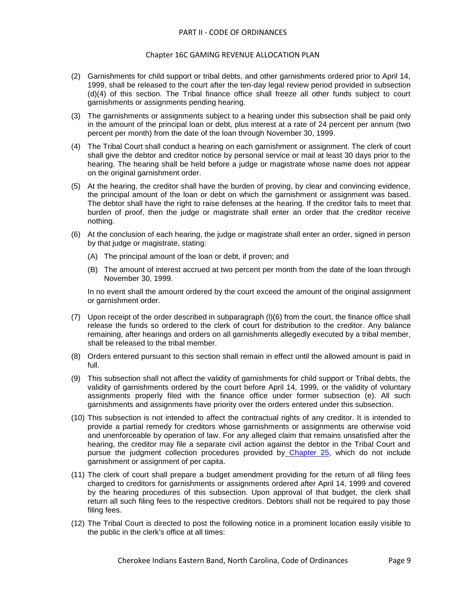- (2) Garnishments for child support or tribal debts, and other garnishments ordered prior to April 14, 1999, shall be released to the court after the ten-day legal review period provided in subsection (d)(4) of this section. The Tribal finance office shall freeze all other funds subject to court garnishments or assignments pending hearing.
- (3) The garnishments or assignments subject to a hearing under this subsection shall be paid only in the amount of the principal loan or debt, plus interest at a rate of 24 percent per annum (two percent per month) from the date of the loan through November 30, 1999.
- (4) The Tribal Court shall conduct a hearing on each garnishment or assignment. The clerk of court shall give the debtor and creditor notice by personal service or mail at least 30 days prior to the hearing. The hearing shall be held before a judge or magistrate whose name does not appear on the original garnishment order.
- (5) At the hearing, the creditor shall have the burden of proving, by clear and convincing evidence, the principal amount of the loan or debt on which the garnishment or assignment was based. The debtor shall have the right to raise defenses at the hearing. If the creditor fails to meet that burden of proof, then the judge or magistrate shall enter an order that the creditor receive nothing.
- (6) At the conclusion of each hearing, the judge or magistrate shall enter an order, signed in person by that judge or magistrate, stating:
	- (A) The principal amount of the loan or debt, if proven; and
	- (B) The amount of interest accrued at two percent per month from the date of the loan through November 30, 1999.

In no event shall the amount ordered by the court exceed the amount of the original assignment or garnishment order.

- (7) Upon receipt of the order described in subparagraph (l)(6) from the court, the finance office shall release the funds so ordered to the clerk of court for distribution to the creditor. Any balance remaining, after hearings and orders on all garnishments allegedly executed by a tribal member, shall be released to the tribal member.
- (8) Orders entered pursuant to this section shall remain in effect until the allowed amount is paid in full.
- (9) This subsection shall not affect the validity of garnishments for child support or Tribal debts, the validity of garnishments ordered by the court before April 14, 1999, or the validity of voluntary assignments properly filed with the finance office under former subsection (e). All such garnishments and assignments have priority over the orders entered under this subsection.
- (10) This subsection is not intended to affect the contractual rights of any creditor. It is intended to provide a partial remedy for creditors whose garnishments or assignments are otherwise void and unenforceable by operation of law. For any alleged claim that remains unsatisfied after the hearing, the creditor may file a separate civil action against the debtor in the Tribal Court and pursue the judgment collection procedures provided by [Chapter 25,](../level2/PTIICOOR_CH25JUCO.docx#PTIICOOR_CH25JUCO) which do not include garnishment or assignment of per capita.
- (11) The clerk of court shall prepare a budget amendment providing for the return of all filing fees charged to creditors for garnishments or assignments ordered after April 14, 1999 and covered by the hearing procedures of this subsection. Upon approval of that budget, the clerk shall return all such filing fees to the respective creditors. Debtors shall not be required to pay those filing fees.
- (12) The Tribal Court is directed to post the following notice in a prominent location easily visible to the public in the clerk's office at all times: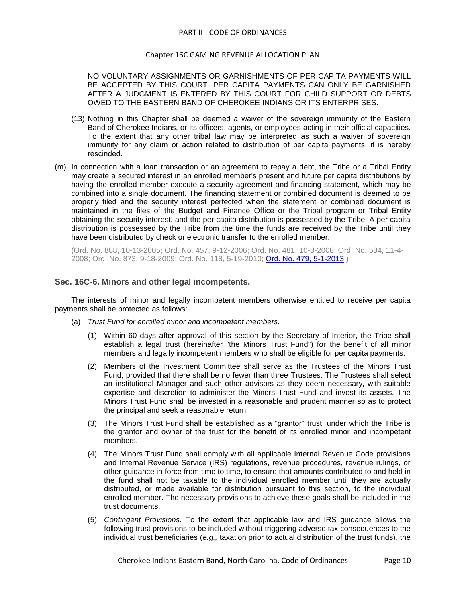#### Chapter 16C GAMING REVENUE ALLOCATION PLAN

NO VOLUNTARY ASSIGNMENTS OR GARNISHMENTS OF PER CAPITA PAYMENTS WILL BE ACCEPTED BY THIS COURT. PER CAPITA PAYMENTS CAN ONLY BE GARNISHED AFTER A JUDGMENT IS ENTERED BY THIS COURT FOR CHILD SUPPORT OR DEBTS OWED TO THE EASTERN BAND OF CHEROKEE INDIANS OR ITS ENTERPRISES.

- (13) Nothing in this Chapter shall be deemed a waiver of the sovereign immunity of the Eastern Band of Cherokee Indians, or its officers, agents, or employees acting in their official capacities. To the extent that any other tribal law may be interpreted as such a waiver of sovereign immunity for any claim or action related to distribution of per capita payments, it is hereby rescinded.
- (m) In connection with a loan transaction or an agreement to repay a debt, the Tribe or a Tribal Entity may create a secured interest in an enrolled member's present and future per capita distributions by having the enrolled member execute a security agreement and financing statement, which may be combined into a single document. The financing statement or combined document is deemed to be properly filed and the security interest perfected when the statement or combined document is maintained in the files of the Budget and Finance Office or the Tribal program or Tribal Entity obtaining the security interest, and the per capita distribution is possessed by the Tribe. A per capita distribution is possessed by the Tribe from the time the funds are received by the Tribe until they have been distributed by check or electronic transfer to the enrolled member.

(Ord. No. 888, 10-13-2005; Ord. No. 457, 9-12-2006; Ord. No. 481, 10-3-2008; Ord. No. 534, 11-4- 2008; Ord. No. 873, 9-18-2009; Ord. No. 118, 5-19-2010; [Ord. No. 479, 5-1-2013](http://newords.municode.com/readordinance.aspx?ordinanceid=599751&datasource=ordbank) )

### <span id="page-9-0"></span>**Sec. 16C-6. Minors and other legal incompetents.**

The interests of minor and legally incompetent members otherwise entitled to receive per capita payments shall be protected as follows:

- (a) *Trust Fund for enrolled minor and incompetent members.*
	- (1) Within 60 days after approval of this section by the Secretary of Interior, the Tribe shall establish a legal trust (hereinafter "the Minors Trust Fund") for the benefit of all minor members and legally incompetent members who shall be eligible for per capita payments.
	- (2) Members of the Investment Committee shall serve as the Trustees of the Minors Trust Fund, provided that there shall be no fewer than three Trustees. The Trustees shall select an institutional Manager and such other advisors as they deem necessary, with suitable expertise and discretion to administer the Minors Trust Fund and invest its assets. The Minors Trust Fund shall be invested in a reasonable and prudent manner so as to protect the principal and seek a reasonable return.
	- (3) The Minors Trust Fund shall be established as a "grantor" trust, under which the Tribe is the grantor and owner of the trust for the benefit of its enrolled minor and incompetent members.
	- (4) The Minors Trust Fund shall comply with all applicable Internal Revenue Code provisions and Internal Revenue Service (IRS) regulations, revenue procedures, revenue rulings, or other guidance in force from time to time, to ensure that amounts contributed to and held in the fund shall not be taxable to the individual enrolled member until they are actually distributed, or made available for distribution pursuant to this section, to the individual enrolled member. The necessary provisions to achieve these goals shall be included in the trust documents.
	- (5) *Contingent Provisions.* To the extent that applicable law and IRS guidance allows the following trust provisions to be included without triggering adverse tax consequences to the individual trust beneficiaries (*e.g.,* taxation prior to actual distribution of the trust funds), the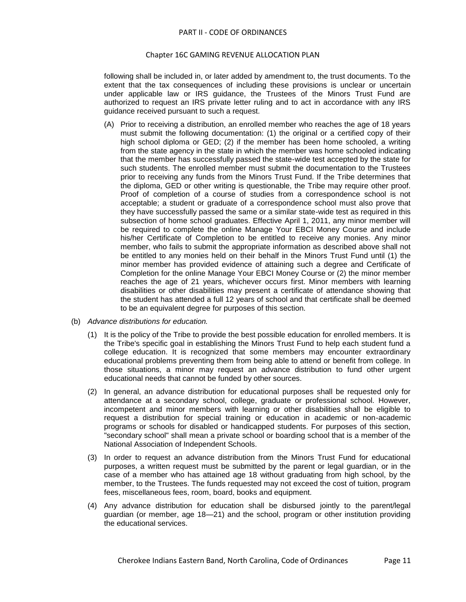following shall be included in, or later added by amendment to, the trust documents. To the extent that the tax consequences of including these provisions is unclear or uncertain under applicable law or IRS guidance, the Trustees of the Minors Trust Fund are authorized to request an IRS private letter ruling and to act in accordance with any IRS guidance received pursuant to such a request.

- (A) Prior to receiving a distribution, an enrolled member who reaches the age of 18 years must submit the following documentation: (1) the original or a certified copy of their high school diploma or GED; (2) if the member has been home schooled, a writing from the state agency in the state in which the member was home schooled indicating that the member has successfully passed the state-wide test accepted by the state for such students. The enrolled member must submit the documentation to the Trustees prior to receiving any funds from the Minors Trust Fund. If the Tribe determines that the diploma, GED or other writing is questionable, the Tribe may require other proof. Proof of completion of a course of studies from a correspondence school is not acceptable; a student or graduate of a correspondence school must also prove that they have successfully passed the same or a similar state-wide test as required in this subsection of home school graduates. Effective April 1, 2011, any minor member will be required to complete the online Manage Your EBCI Money Course and include his/her Certificate of Completion to be entitled to receive any monies. Any minor member, who fails to submit the appropriate information as described above shall not be entitled to any monies held on their behalf in the Minors Trust Fund until (1) the minor member has provided evidence of attaining such a degree and Certificate of Completion for the online Manage Your EBCI Money Course or (2) the minor member reaches the age of 21 years, whichever occurs first. Minor members with learning disabilities or other disabilities may present a certificate of attendance showing that the student has attended a full 12 years of school and that certificate shall be deemed to be an equivalent degree for purposes of this section.
- (b) *Advance distributions for education.*
	- (1) It is the policy of the Tribe to provide the best possible education for enrolled members. It is the Tribe's specific goal in establishing the Minors Trust Fund to help each student fund a college education. It is recognized that some members may encounter extraordinary educational problems preventing them from being able to attend or benefit from college. In those situations, a minor may request an advance distribution to fund other urgent educational needs that cannot be funded by other sources.
	- (2) In general, an advance distribution for educational purposes shall be requested only for attendance at a secondary school, college, graduate or professional school. However, incompetent and minor members with learning or other disabilities shall be eligible to request a distribution for special training or education in academic or non-academic programs or schools for disabled or handicapped students. For purposes of this section, "secondary school" shall mean a private school or boarding school that is a member of the National Association of Independent Schools.
	- (3) In order to request an advance distribution from the Minors Trust Fund for educational purposes, a written request must be submitted by the parent or legal guardian, or in the case of a member who has attained age 18 without graduating from high school, by the member, to the Trustees. The funds requested may not exceed the cost of tuition, program fees, miscellaneous fees, room, board, books and equipment.
	- (4) Any advance distribution for education shall be disbursed jointly to the parent/legal guardian (or member, age 18—21) and the school, program or other institution providing the educational services.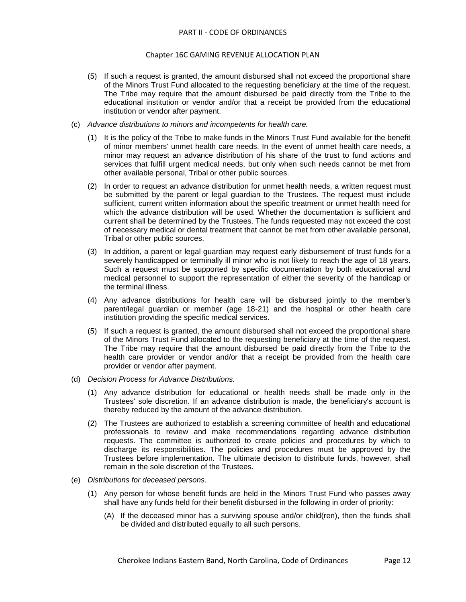- (5) If such a request is granted, the amount disbursed shall not exceed the proportional share of the Minors Trust Fund allocated to the requesting beneficiary at the time of the request. The Tribe may require that the amount disbursed be paid directly from the Tribe to the educational institution or vendor and/or that a receipt be provided from the educational institution or vendor after payment.
- (c) *Advance distributions to minors and incompetents for health care.*
	- (1) It is the policy of the Tribe to make funds in the Minors Trust Fund available for the benefit of minor members' unmet health care needs. In the event of unmet health care needs, a minor may request an advance distribution of his share of the trust to fund actions and services that fulfill urgent medical needs, but only when such needs cannot be met from other available personal, Tribal or other public sources.
	- (2) In order to request an advance distribution for unmet health needs, a written request must be submitted by the parent or legal guardian to the Trustees. The request must include sufficient, current written information about the specific treatment or unmet health need for which the advance distribution will be used. Whether the documentation is sufficient and current shall be determined by the Trustees. The funds requested may not exceed the cost of necessary medical or dental treatment that cannot be met from other available personal, Tribal or other public sources.
	- (3) In addition, a parent or legal guardian may request early disbursement of trust funds for a severely handicapped or terminally ill minor who is not likely to reach the age of 18 years. Such a request must be supported by specific documentation by both educational and medical personnel to support the representation of either the severity of the handicap or the terminal illness.
	- (4) Any advance distributions for health care will be disbursed jointly to the member's parent/legal guardian or member (age 18-21) and the hospital or other health care institution providing the specific medical services.
	- (5) If such a request is granted, the amount disbursed shall not exceed the proportional share of the Minors Trust Fund allocated to the requesting beneficiary at the time of the request. The Tribe may require that the amount disbursed be paid directly from the Tribe to the health care provider or vendor and/or that a receipt be provided from the health care provider or vendor after payment.
- (d) *Decision Process for Advance Distributions.*
	- (1) Any advance distribution for educational or health needs shall be made only in the Trustees' sole discretion. If an advance distribution is made, the beneficiary's account is thereby reduced by the amount of the advance distribution.
	- (2) The Trustees are authorized to establish a screening committee of health and educational professionals to review and make recommendations regarding advance distribution requests. The committee is authorized to create policies and procedures by which to discharge its responsibilities. The policies and procedures must be approved by the Trustees before implementation. The ultimate decision to distribute funds, however, shall remain in the sole discretion of the Trustees.
- (e) *Distributions for deceased persons.*
	- (1) Any person for whose benefit funds are held in the Minors Trust Fund who passes away shall have any funds held for their benefit disbursed in the following in order of priority:
		- (A) If the deceased minor has a surviving spouse and/or child(ren), then the funds shall be divided and distributed equally to all such persons.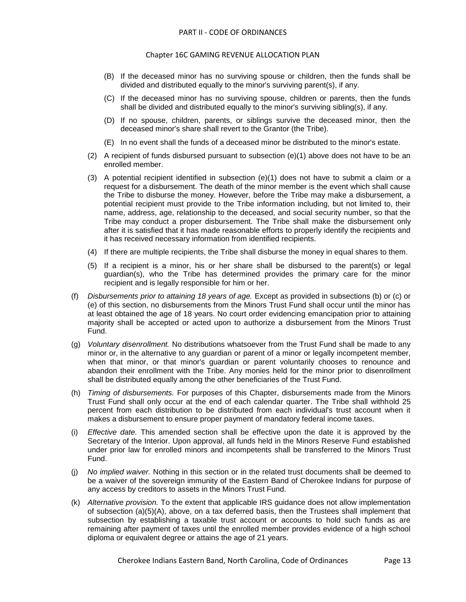- (B) If the deceased minor has no surviving spouse or children, then the funds shall be divided and distributed equally to the minor's surviving parent(s), if any.
- (C) If the deceased minor has no surviving spouse, children or parents, then the funds shall be divided and distributed equally to the minor's surviving sibling(s), if any.
- (D) If no spouse, children, parents, or siblings survive the deceased minor, then the deceased minor's share shall revert to the Grantor (the Tribe).
- (E) In no event shall the funds of a deceased minor be distributed to the minor's estate.
- (2) A recipient of funds disbursed pursuant to subsection (e)(1) above does not have to be an enrolled member.
- (3) A potential recipient identified in subsection (e)(1) does not have to submit a claim or a request for a disbursement. The death of the minor member is the event which shall cause the Tribe to disburse the money. However, before the Tribe may make a disbursement, a potential recipient must provide to the Tribe information including, but not limited to, their name, address, age, relationship to the deceased, and social security number, so that the Tribe may conduct a proper disbursement. The Tribe shall make the disbursement only after it is satisfied that it has made reasonable efforts to properly identify the recipients and it has received necessary information from identified recipients.
- (4) If there are multiple recipients, the Tribe shall disburse the money in equal shares to them.
- (5) If a recipient is a minor, his or her share shall be disbursed to the parent(s) or legal guardian(s), who the Tribe has determined provides the primary care for the minor recipient and is legally responsible for him or her.
- (f) *Disbursements prior to attaining 18 years of age.* Except as provided in subsections (b) or (c) or (e) of this section, no disbursements from the Minors Trust Fund shall occur until the minor has at least obtained the age of 18 years. No court order evidencing emancipation prior to attaining majority shall be accepted or acted upon to authorize a disbursement from the Minors Trust Fund.
- (g) *Voluntary disenrollment.* No distributions whatsoever from the Trust Fund shall be made to any minor or, in the alternative to any guardian or parent of a minor or legally incompetent member, when that minor, or that minor's guardian or parent voluntarily chooses to renounce and abandon their enrollment with the Tribe. Any monies held for the minor prior to disenrollment shall be distributed equally among the other beneficiaries of the Trust Fund.
- (h) *Timing of disbursements.* For purposes of this Chapter, disbursements made from the Minors Trust Fund shall only occur at the end of each calendar quarter. The Tribe shall withhold 25 percent from each distribution to be distributed from each individual's trust account when it makes a disbursement to ensure proper payment of mandatory federal income taxes.
- (i) *Effective date.* This amended section shall be effective upon the date it is approved by the Secretary of the Interior. Upon approval, all funds held in the Minors Reserve Fund established under prior law for enrolled minors and incompetents shall be transferred to the Minors Trust Fund.
- (j) *No implied waiver.* Nothing in this section or in the related trust documents shall be deemed to be a waiver of the sovereign immunity of the Eastern Band of Cherokee Indians for purpose of any access by creditors to assets in the Minors Trust Fund.
- (k) *Alternative provision.* To the extent that applicable IRS guidance does not allow implementation of subsection (a)(5)(A), above, on a tax deferred basis, then the Trustees shall implement that subsection by establishing a taxable trust account or accounts to hold such funds as are remaining after payment of taxes until the enrolled member provides evidence of a high school diploma or equivalent degree or attains the age of 21 years.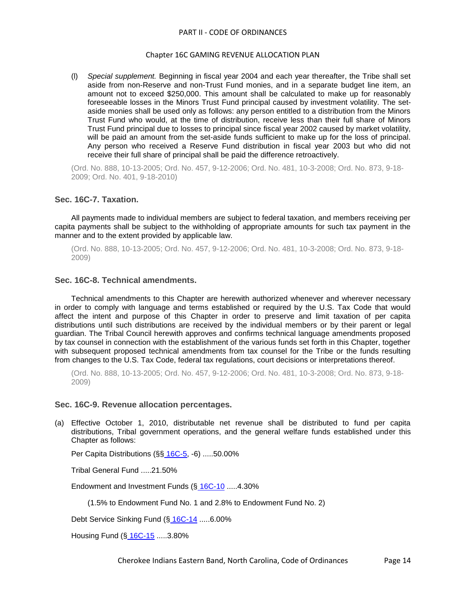#### Chapter 16C GAMING REVENUE ALLOCATION PLAN

(l) *Special supplement.* Beginning in fiscal year 2004 and each year thereafter, the Tribe shall set aside from non-Reserve and non-Trust Fund monies, and in a separate budget line item, an amount not to exceed \$250,000. This amount shall be calculated to make up for reasonably foreseeable losses in the Minors Trust Fund principal caused by investment volatility. The setaside monies shall be used only as follows: any person entitled to a distribution from the Minors Trust Fund who would, at the time of distribution, receive less than their full share of Minors Trust Fund principal due to losses to principal since fiscal year 2002 caused by market volatility, will be paid an amount from the set-aside funds sufficient to make up for the loss of principal. Any person who received a Reserve Fund distribution in fiscal year 2003 but who did not receive their full share of principal shall be paid the difference retroactively.

(Ord. No. 888, 10-13-2005; Ord. No. 457, 9-12-2006; Ord. No. 481, 10-3-2008; Ord. No. 873, 9-18- 2009; Ord. No. 401, 9-18-2010)

### <span id="page-13-0"></span>**Sec. 16C-7. Taxation.**

All payments made to individual members are subject to federal taxation, and members receiving per capita payments shall be subject to the withholding of appropriate amounts for such tax payment in the manner and to the extent provided by applicable law.

(Ord. No. 888, 10-13-2005; Ord. No. 457, 9-12-2006; Ord. No. 481, 10-3-2008; Ord. No. 873, 9-18- 2009)

# <span id="page-13-1"></span>**Sec. 16C-8. Technical amendments.**

Technical amendments to this Chapter are herewith authorized whenever and wherever necessary in order to comply with language and terms established or required by the U.S. Tax Code that would affect the intent and purpose of this Chapter in order to preserve and limit taxation of per capita distributions until such distributions are received by the individual members or by their parent or legal guardian. The Tribal Council herewith approves and confirms technical language amendments proposed by tax counsel in connection with the establishment of the various funds set forth in this Chapter, together with subsequent proposed technical amendments from tax counsel for the Tribe or the funds resulting from changes to the U.S. Tax Code, federal tax regulations, court decisions or interpretations thereof.

(Ord. No. 888, 10-13-2005; Ord. No. 457, 9-12-2006; Ord. No. 481, 10-3-2008; Ord. No. 873, 9-18- 2009)

### <span id="page-13-2"></span>**Sec. 16C-9. Revenue allocation percentages.**

(a) Effective October 1, 2010, distributable net revenue shall be distributed to fund per capita distributions, Tribal government operations, and the general welfare funds established under this Chapter as follows:

Per Capita Distributions (§§ [16C-5,](../level2/PTIICOOR_CH16CGAREALPL.docx#PTIICOOR_CH16CGAREALPL_S16C-5DIME) -6) .....50.00%

Tribal General Fund .....21.50%

Endowment and Investment Funds (§ [16C-10](../level2/PTIICOOR_CH16CGAREALPL.docx#PTIICOOR_CH16CGAREALPL_S16C-10CHENINFU) .....4.30%

(1.5% to Endowment Fund No. 1 and 2.8% to Endowment Fund No. 2)

Debt Service Sinking Fund (§ [16C-14](../level2/PTIICOOR_CH16CGAREALPL.docx#PTIICOOR_CH16CGAREALPL_S16C-14DESESIFU) .....6.00%

Housing Fund (§ [16C-15](../level2/PTIICOOR_CH16CGAREALPL.docx#PTIICOOR_CH16CGAREALPL_S16C-15HOFU) .....3.80%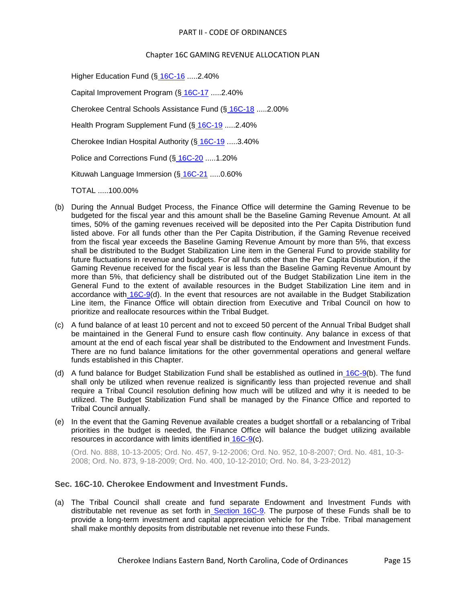## Chapter 16C GAMING REVENUE ALLOCATION PLAN

Higher Education Fund (§ [16C-16](../level2/PTIICOOR_CH16CGAREALPL.docx#PTIICOOR_CH16CGAREALPL_S16C-16HIEDFU) .....2.40%

Capital Improvement Program (§ [16C-17](../level2/PTIICOOR_CH16CGAREALPL.docx#PTIICOOR_CH16CGAREALPL_S16C-17CAIMPRCI) .....2.40%

Cherokee Central Schools Assistance Fund (§ [16C-18](../level2/PTIICOOR_CH16CGAREALPL.docx#PTIICOOR_CH16CGAREALPL_S16C-18CHCESCASFU) .....2.00%

Health Program Supplement Fund (§ [16C-19](../level2/PTIICOOR_CH16CGAREALPL.docx#PTIICOOR_CH16CGAREALPL_S16C-19HEPRSUFU) .....2.40%

Cherokee Indian Hospital Authority (§ [16C-19](../level2/PTIICOOR_CH16CGAREALPL.docx#PTIICOOR_CH16CGAREALPL_S16C-19HEPRSUFU) .....3.40%

Police and Corrections Fund (§ [16C-20](../level2/PTIICOOR_CH16CGAREALPL.docx#PTIICOOR_CH16CGAREALPL_S16C-20POCOFU) .....1.20%

Kituwah Language Immersion (§ [16C-21](../level2/PTIICOOR_CH16CGAREALPL.docx#PTIICOOR_CH16CGAREALPL_S16C-21KILAIMFU) .....0.60%

TOTAL .....100.00%

- (b) During the Annual Budget Process, the Finance Office will determine the Gaming Revenue to be budgeted for the fiscal year and this amount shall be the Baseline Gaming Revenue Amount. At all times, 50% of the gaming revenues received will be deposited into the Per Capita Distribution fund listed above. For all funds other than the Per Capita Distribution, if the Gaming Revenue received from the fiscal year exceeds the Baseline Gaming Revenue Amount by more than 5%, that excess shall be distributed to the Budget Stabilization Line item in the General Fund to provide stability for future fluctuations in revenue and budgets. For all funds other than the Per Capita Distribution, if the Gaming Revenue received for the fiscal year is less than the Baseline Gaming Revenue Amount by more than 5%, that deficiency shall be distributed out of the Budget Stabilization Line item in the General Fund to the extent of available resources in the Budget Stabilization Line item and in accordance with [16C-9\(](../level2/PTIICOOR_CH16CGAREALPL.docx#PTIICOOR_CH16CGAREALPL_S16C-9REALPE)d). In the event that resources are not available in the Budget Stabilization Line item, the Finance Office will obtain direction from Executive and Tribal Council on how to prioritize and reallocate resources within the Tribal Budget.
- (c) A fund balance of at least 10 percent and not to exceed 50 percent of the Annual Tribal Budget shall be maintained in the General Fund to ensure cash flow continuity. Any balance in excess of that amount at the end of each fiscal year shall be distributed to the Endowment and Investment Funds. There are no fund balance limitations for the other governmental operations and general welfare funds established in this Chapter.
- (d) A fund balance for Budget Stabilization Fund shall be established as outlined in [16C-9\(](../level2/PTIICOOR_CH16CGAREALPL.docx#PTIICOOR_CH16CGAREALPL_S16C-9REALPE)b). The fund shall only be utilized when revenue realized is significantly less than projected revenue and shall require a Tribal Council resolution defining how much will be utilized and why it is needed to be utilized. The Budget Stabilization Fund shall be managed by the Finance Office and reported to Tribal Council annually.
- (e) In the event that the Gaming Revenue available creates a budget shortfall or a rebalancing of Tribal priorities in the budget is needed, the Finance Office will balance the budget utilizing available resources in accordance with limits identified in [16C-9\(](../level2/PTIICOOR_CH16CGAREALPL.docx#PTIICOOR_CH16CGAREALPL_S16C-9REALPE)c).

(Ord. No. 888, 10-13-2005; Ord. No. 457, 9-12-2006; Ord. No. 952, 10-8-2007; Ord. No. 481, 10-3- 2008; Ord. No. 873, 9-18-2009; Ord. No. 400, 10-12-2010; Ord. No. 84, 3-23-2012)

# <span id="page-14-0"></span>**Sec. 16C-10. Cherokee Endowment and Investment Funds.**

(a) The Tribal Council shall create and fund separate Endowment and Investment Funds with distributable net revenue as set forth in [Section 16C-9.](../level2/PTIICOOR_CH16CGAREALPL.docx#PTIICOOR_CH16CGAREALPL_S16C-9REALPE) The purpose of these Funds shall be to provide a long-term investment and capital appreciation vehicle for the Tribe. Tribal management shall make monthly deposits from distributable net revenue into these Funds.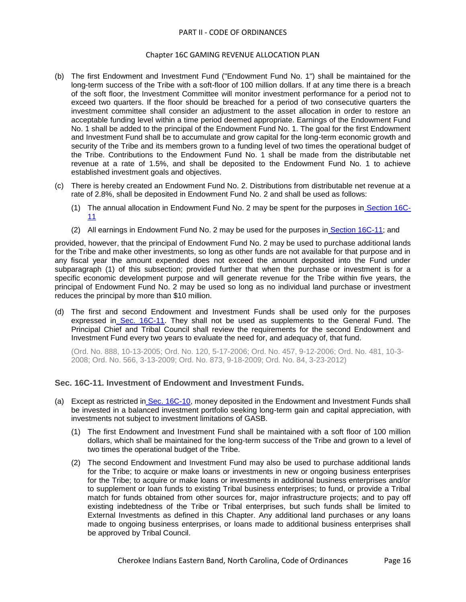## Chapter 16C GAMING REVENUE ALLOCATION PLAN

- (b) The first Endowment and Investment Fund ("Endowment Fund No. 1") shall be maintained for the long-term success of the Tribe with a soft-floor of 100 million dollars. If at any time there is a breach of the soft floor, the Investment Committee will monitor investment performance for a period not to exceed two quarters. If the floor should be breached for a period of two consecutive quarters the investment committee shall consider an adjustment to the asset allocation in order to restore an acceptable funding level within a time period deemed appropriate. Earnings of the Endowment Fund No. 1 shall be added to the principal of the Endowment Fund No. 1. The goal for the first Endowment and Investment Fund shall be to accumulate and grow capital for the long-term economic growth and security of the Tribe and its members grown to a funding level of two times the operational budget of the Tribe. Contributions to the Endowment Fund No. 1 shall be made from the distributable net revenue at a rate of 1.5%, and shall be deposited to the Endowment Fund No. 1 to achieve established investment goals and objectives.
- (c) There is hereby created an Endowment Fund No. 2. Distributions from distributable net revenue at a rate of 2.8%, shall be deposited in Endowment Fund No. 2 and shall be used as follows:
	- (1) The annual allocation in Endowment Fund No. 2 may be spent for the purposes in [Section 16C-](../level2/PTIICOOR_CH16CGAREALPL.docx#PTIICOOR_CH16CGAREALPL_S16C-11INENINFU)[11](../level2/PTIICOOR_CH16CGAREALPL.docx#PTIICOOR_CH16CGAREALPL_S16C-11INENINFU)
	- (2) All earnings in Endowment Fund No. 2 may be used for the purposes in [Section 16C-11;](../level2/PTIICOOR_CH16CGAREALPL.docx#PTIICOOR_CH16CGAREALPL_S16C-11INENINFU) and

provided, however, that the principal of Endowment Fund No. 2 may be used to purchase additional lands for the Tribe and make other investments, so long as other funds are not available for that purpose and in any fiscal year the amount expended does not exceed the amount deposited into the Fund under subparagraph (1) of this subsection; provided further that when the purchase or investment is for a specific economic development purpose and will generate revenue for the Tribe within five years, the principal of Endowment Fund No. 2 may be used so long as no individual land purchase or investment reduces the principal by more than \$10 million.

(d) The first and second Endowment and Investment Funds shall be used only for the purposes expressed in [Sec. 16C-11.](../level2/PTIICOOR_CH16CGAREALPL.docx#PTIICOOR_CH16CGAREALPL_S16C-11INENINFU) They shall not be used as supplements to the General Fund. The Principal Chief and Tribal Council shall review the requirements for the second Endowment and Investment Fund every two years to evaluate the need for, and adequacy of, that fund.

(Ord. No. 888, 10-13-2005; Ord. No. 120, 5-17-2006; Ord. No. 457, 9-12-2006; Ord. No. 481, 10-3- 2008; Ord. No. 566, 3-13-2009; Ord. No. 873, 9-18-2009; Ord. No. 84, 3-23-2012)

# <span id="page-15-0"></span>**Sec. 16C-11. Investment of Endowment and Investment Funds.**

- (a) Except as restricted in [Sec. 16C-10,](../level2/PTIICOOR_CH16CGAREALPL.docx#PTIICOOR_CH16CGAREALPL_S16C-10CHENINFU) money deposited in the Endowment and Investment Funds shall be invested in a balanced investment portfolio seeking long-term gain and capital appreciation, with investments not subject to investment limitations of GASB.
	- (1) The first Endowment and Investment Fund shall be maintained with a soft floor of 100 million dollars, which shall be maintained for the long-term success of the Tribe and grown to a level of two times the operational budget of the Tribe.
	- (2) The second Endowment and Investment Fund may also be used to purchase additional lands for the Tribe; to acquire or make loans or investments in new or ongoing business enterprises for the Tribe; to acquire or make loans or investments in additional business enterprises and/or to supplement or loan funds to existing Tribal business enterprises; to fund, or provide a Tribal match for funds obtained from other sources for, major infrastructure projects; and to pay off existing indebtedness of the Tribe or Tribal enterprises, but such funds shall be limited to External Investments as defined in this Chapter. Any additional land purchases or any loans made to ongoing business enterprises, or loans made to additional business enterprises shall be approved by Tribal Council.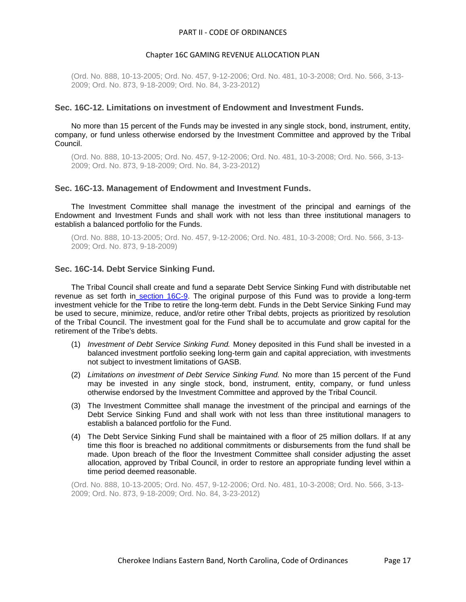#### Chapter 16C GAMING REVENUE ALLOCATION PLAN

(Ord. No. 888, 10-13-2005; Ord. No. 457, 9-12-2006; Ord. No. 481, 10-3-2008; Ord. No. 566, 3-13- 2009; Ord. No. 873, 9-18-2009; Ord. No. 84, 3-23-2012)

#### <span id="page-16-0"></span>**Sec. 16C-12. Limitations on investment of Endowment and Investment Funds.**

No more than 15 percent of the Funds may be invested in any single stock, bond, instrument, entity, company, or fund unless otherwise endorsed by the Investment Committee and approved by the Tribal Council.

(Ord. No. 888, 10-13-2005; Ord. No. 457, 9-12-2006; Ord. No. 481, 10-3-2008; Ord. No. 566, 3-13- 2009; Ord. No. 873, 9-18-2009; Ord. No. 84, 3-23-2012)

#### <span id="page-16-1"></span>**Sec. 16C-13. Management of Endowment and Investment Funds.**

The Investment Committee shall manage the investment of the principal and earnings of the Endowment and Investment Funds and shall work with not less than three institutional managers to establish a balanced portfolio for the Funds.

(Ord. No. 888, 10-13-2005; Ord. No. 457, 9-12-2006; Ord. No. 481, 10-3-2008; Ord. No. 566, 3-13- 2009; Ord. No. 873, 9-18-2009)

#### <span id="page-16-2"></span>**Sec. 16C-14. Debt Service Sinking Fund.**

The Tribal Council shall create and fund a separate Debt Service Sinking Fund with distributable net revenue as set forth in [section 16C-9.](../level2/PTIICOOR_CH16CGAREALPL.docx#PTIICOOR_CH16CGAREALPL_S16C-9REALPE) The original purpose of this Fund was to provide a long-term investment vehicle for the Tribe to retire the long-term debt. Funds in the Debt Service Sinking Fund may be used to secure, minimize, reduce, and/or retire other Tribal debts, projects as prioritized by resolution of the Tribal Council. The investment goal for the Fund shall be to accumulate and grow capital for the retirement of the Tribe's debts.

- (1) *Investment of Debt Service Sinking Fund.* Money deposited in this Fund shall be invested in a balanced investment portfolio seeking long-term gain and capital appreciation, with investments not subject to investment limitations of GASB.
- (2) *Limitations on investment of Debt Service Sinking Fund.* No more than 15 percent of the Fund may be invested in any single stock, bond, instrument, entity, company, or fund unless otherwise endorsed by the Investment Committee and approved by the Tribal Council.
- (3) The Investment Committee shall manage the investment of the principal and earnings of the Debt Service Sinking Fund and shall work with not less than three institutional managers to establish a balanced portfolio for the Fund.
- (4) The Debt Service Sinking Fund shall be maintained with a floor of 25 million dollars. If at any time this floor is breached no additional commitments or disbursements from the fund shall be made. Upon breach of the floor the Investment Committee shall consider adjusting the asset allocation, approved by Tribal Council, in order to restore an appropriate funding level within a time period deemed reasonable.

(Ord. No. 888, 10-13-2005; Ord. No. 457, 9-12-2006; Ord. No. 481, 10-3-2008; Ord. No. 566, 3-13- 2009; Ord. No. 873, 9-18-2009; Ord. No. 84, 3-23-2012)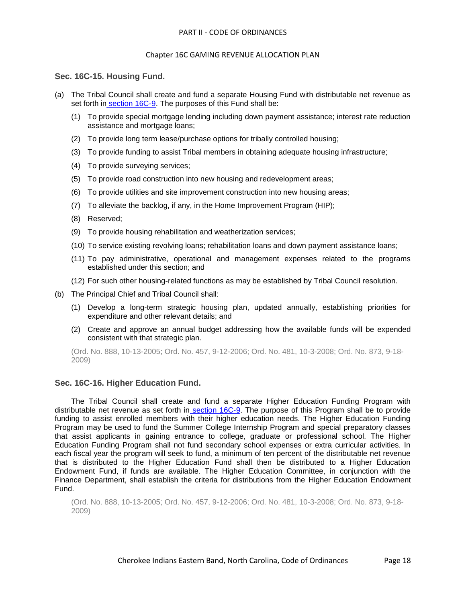# <span id="page-17-0"></span>**Sec. 16C-15. Housing Fund.**

- (a) The Tribal Council shall create and fund a separate Housing Fund with distributable net revenue as set forth in [section 16C-9.](../level2/PTIICOOR_CH16CGAREALPL.docx#PTIICOOR_CH16CGAREALPL_S16C-9REALPE) The purposes of this Fund shall be:
	- (1) To provide special mortgage lending including down payment assistance; interest rate reduction assistance and mortgage loans;
	- (2) To provide long term lease/purchase options for tribally controlled housing;
	- (3) To provide funding to assist Tribal members in obtaining adequate housing infrastructure;
	- (4) To provide surveying services;
	- (5) To provide road construction into new housing and redevelopment areas;
	- (6) To provide utilities and site improvement construction into new housing areas;
	- (7) To alleviate the backlog, if any, in the Home Improvement Program (HIP);
	- (8) Reserved;
	- (9) To provide housing rehabilitation and weatherization services;
	- (10) To service existing revolving loans; rehabilitation loans and down payment assistance loans;
	- (11) To pay administrative, operational and management expenses related to the programs established under this section; and
	- (12) For such other housing-related functions as may be established by Tribal Council resolution.
- (b) The Principal Chief and Tribal Council shall:
	- (1) Develop a long-term strategic housing plan, updated annually, establishing priorities for expenditure and other relevant details; and
	- (2) Create and approve an annual budget addressing how the available funds will be expended consistent with that strategic plan.

(Ord. No. 888, 10-13-2005; Ord. No. 457, 9-12-2006; Ord. No. 481, 10-3-2008; Ord. No. 873, 9-18- 2009)

# <span id="page-17-1"></span>**Sec. 16C-16. Higher Education Fund.**

The Tribal Council shall create and fund a separate Higher Education Funding Program with distributable net revenue as set forth in [section 16C-9.](../level2/PTIICOOR_CH16CGAREALPL.docx#PTIICOOR_CH16CGAREALPL_S16C-9REALPE) The purpose of this Program shall be to provide funding to assist enrolled members with their higher education needs. The Higher Education Funding Program may be used to fund the Summer College Internship Program and special preparatory classes that assist applicants in gaining entrance to college, graduate or professional school. The Higher Education Funding Program shall not fund secondary school expenses or extra curricular activities. In each fiscal year the program will seek to fund, a minimum of ten percent of the distributable net revenue that is distributed to the Higher Education Fund shall then be distributed to a Higher Education Endowment Fund, if funds are available. The Higher Education Committee, in conjunction with the Finance Department, shall establish the criteria for distributions from the Higher Education Endowment Fund.

(Ord. No. 888, 10-13-2005; Ord. No. 457, 9-12-2006; Ord. No. 481, 10-3-2008; Ord. No. 873, 9-18- 2009)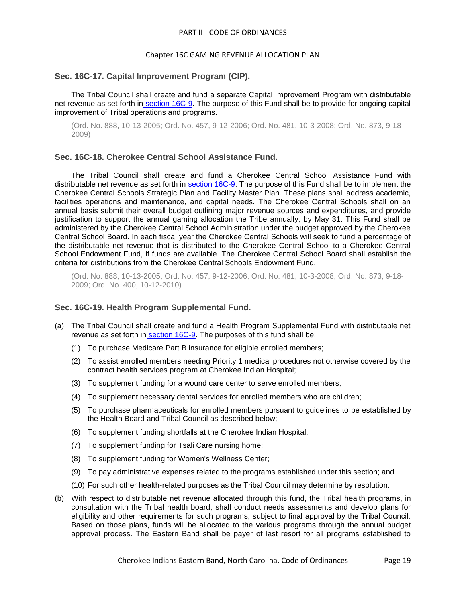## Chapter 16C GAMING REVENUE ALLOCATION PLAN

#### <span id="page-18-0"></span>**Sec. 16C-17. Capital Improvement Program (CIP).**

The Tribal Council shall create and fund a separate Capital Improvement Program with distributable net revenue as set forth in [section 16C-9.](../level2/PTIICOOR_CH16CGAREALPL.docx#PTIICOOR_CH16CGAREALPL_S16C-9REALPE) The purpose of this Fund shall be to provide for ongoing capital improvement of Tribal operations and programs.

(Ord. No. 888, 10-13-2005; Ord. No. 457, 9-12-2006; Ord. No. 481, 10-3-2008; Ord. No. 873, 9-18- 2009)

### <span id="page-18-1"></span>**Sec. 16C-18. Cherokee Central School Assistance Fund.**

The Tribal Council shall create and fund a Cherokee Central School Assistance Fund with distributable net revenue as set forth in [section 16C-9.](../level2/PTIICOOR_CH16CGAREALPL.docx#PTIICOOR_CH16CGAREALPL_S16C-9REALPE) The purpose of this Fund shall be to implement the Cherokee Central Schools Strategic Plan and Facility Master Plan. These plans shall address academic, facilities operations and maintenance, and capital needs. The Cherokee Central Schools shall on an annual basis submit their overall budget outlining major revenue sources and expenditures, and provide justification to support the annual gaming allocation the Tribe annually, by May 31. This Fund shall be administered by the Cherokee Central School Administration under the budget approved by the Cherokee Central School Board. In each fiscal year the Cherokee Central Schools will seek to fund a percentage of the distributable net revenue that is distributed to the Cherokee Central School to a Cherokee Central School Endowment Fund, if funds are available. The Cherokee Central School Board shall establish the criteria for distributions from the Cherokee Central Schools Endowment Fund.

(Ord. No. 888, 10-13-2005; Ord. No. 457, 9-12-2006; Ord. No. 481, 10-3-2008; Ord. No. 873, 9-18- 2009; Ord. No. 400, 10-12-2010)

### <span id="page-18-2"></span>**Sec. 16C-19. Health Program Supplemental Fund.**

- (a) The Tribal Council shall create and fund a Health Program Supplemental Fund with distributable net revenue as set forth in [section 16C-9.](../level2/PTIICOOR_CH16CGAREALPL.docx#PTIICOOR_CH16CGAREALPL_S16C-9REALPE) The purposes of this fund shall be:
	- (1) To purchase Medicare Part B insurance for eligible enrolled members;
	- (2) To assist enrolled members needing Priority 1 medical procedures not otherwise covered by the contract health services program at Cherokee Indian Hospital;
	- (3) To supplement funding for a wound care center to serve enrolled members;
	- (4) To supplement necessary dental services for enrolled members who are children;
	- (5) To purchase pharmaceuticals for enrolled members pursuant to guidelines to be established by the Health Board and Tribal Council as described below;
	- (6) To supplement funding shortfalls at the Cherokee Indian Hospital;
	- (7) To supplement funding for Tsali Care nursing home;
	- (8) To supplement funding for Women's Wellness Center;
	- (9) To pay administrative expenses related to the programs established under this section; and
	- (10) For such other health-related purposes as the Tribal Council may determine by resolution.
- (b) With respect to distributable net revenue allocated through this fund, the Tribal health programs, in consultation with the Tribal health board, shall conduct needs assessments and develop plans for eligibility and other requirements for such programs, subject to final approval by the Tribal Council. Based on those plans, funds will be allocated to the various programs through the annual budget approval process. The Eastern Band shall be payer of last resort for all programs established to